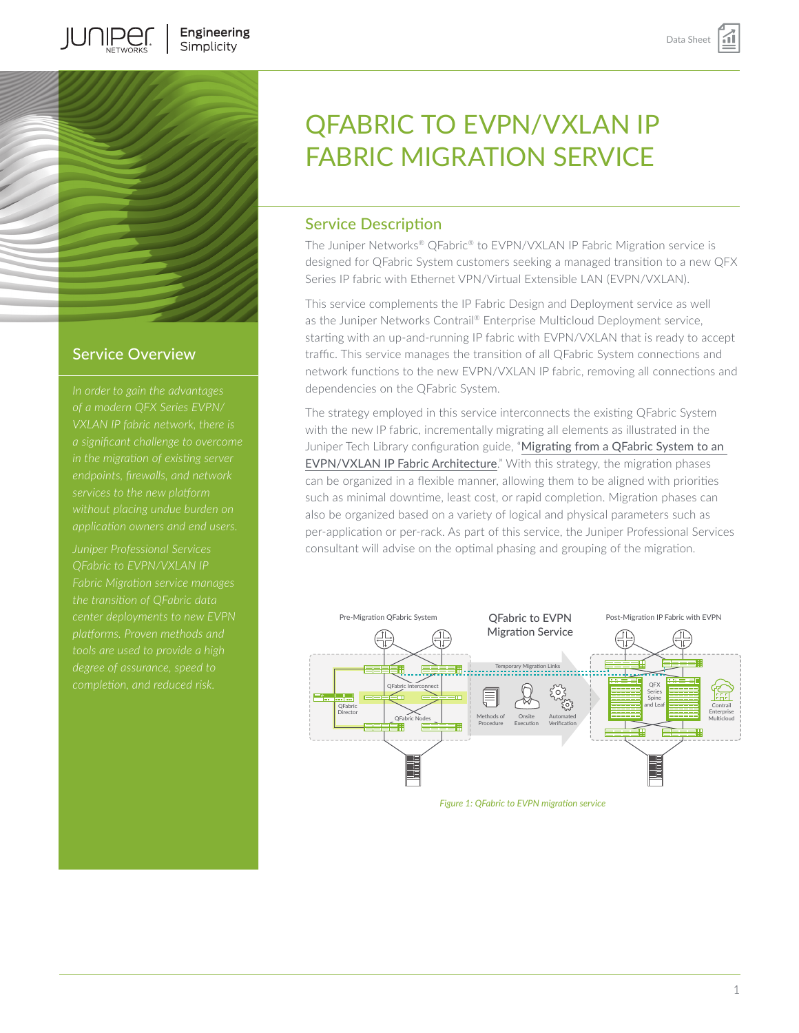

**IUNIPEC** 

### Service Overview

*in the migration of existing server endpoints, firewalls, and network* 

*Juniper Professional Services QFabric to EVPN/VXLAN IP Fabric Migration service manages the transition of QFabric data* 

# QFABRIC TO EVPN/VXLAN IP FABRIC MIGRATION SERVICE

# Service Description

The Juniper Networks® QFabric® to EVPN/VXLAN IP Fabric Migration service is designed for QFabric System customers seeking a managed transition to a new QFX Series IP fabric with Ethernet VPN/Virtual Extensible LAN (EVPN/VXLAN).

This service complements the IP Fabric Design and Deployment service as well as the Juniper Networks Contrail® Enterprise Multicloud Deployment service, starting with an up-and-running IP fabric with EVPN/VXLAN that is ready to accept traffic. This service manages the transition of all QFabric System connections and network functions to the new EVPN/VXLAN IP fabric, removing all connections and dependencies on the QFabric System.

The strategy employed in this service interconnects the existing QFabric System with the new IP fabric, incrementally migrating all elements as illustrated in the Juniper Tech Library configuration guide, "Migrating from a QFabric System to an [EVPN/VXLAN IP Fabric Architecture](https://www.juniper.net/documentation/en_US/release-independent/nce/information-products/pathway-pages/nce/nce-169-qfabric-evpn-vxlan-migrating.html)." With this strategy, the migration phases can be organized in a flexible manner, allowing them to be aligned with priorities such as minimal downtime, least cost, or rapid completion. Migration phases can also be organized based on a variety of logical and physical parameters such as per-application or per-rack. As part of this service, the Juniper Professional Services consultant will advise on the optimal phasing and grouping of the migration.



*Figure 1: QFabric to EVPN migration service*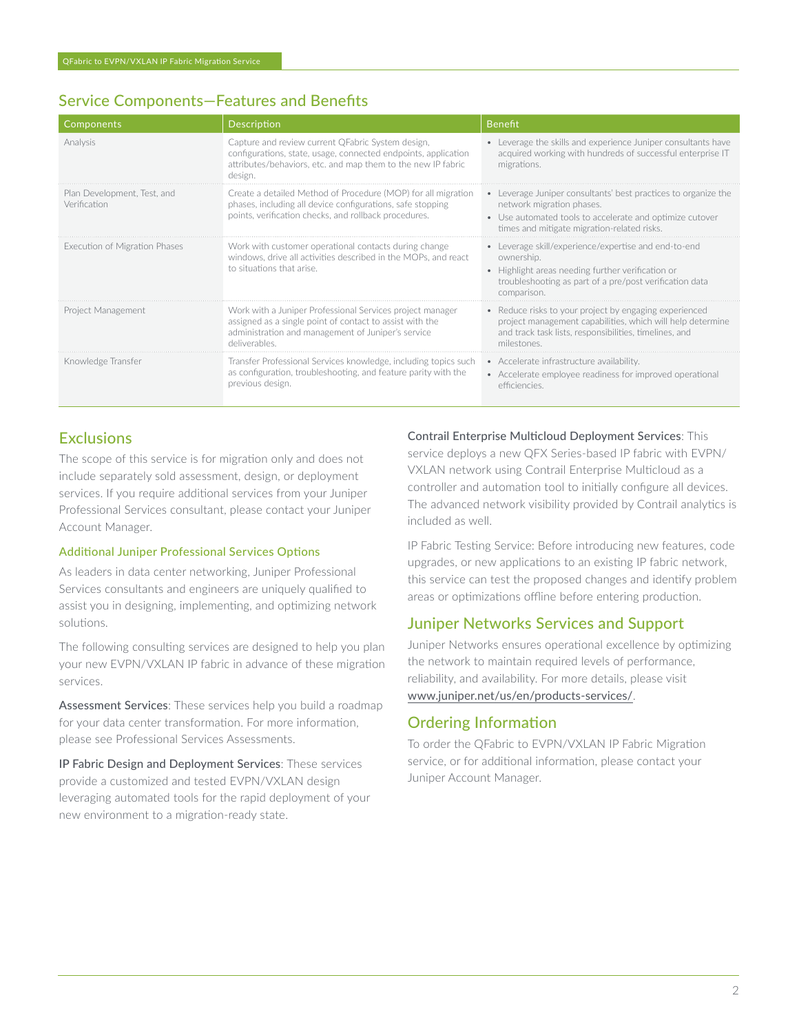# Service Components—Features and Benefits

| Components                                  | Description                                                                                                                                                                                    | <b>Benefit</b>                                                                                                                                                                                         |
|---------------------------------------------|------------------------------------------------------------------------------------------------------------------------------------------------------------------------------------------------|--------------------------------------------------------------------------------------------------------------------------------------------------------------------------------------------------------|
| Analysis                                    | Capture and review current QFabric System design,<br>configurations, state, usage, connected endpoints, application<br>attributes/behaviors, etc. and map them to the new IP fabric<br>design. | • Leverage the skills and experience Juniper consultants have<br>acquired working with hundreds of successful enterprise IT<br>migrations.                                                             |
| Plan Development. Test. and<br>Verification | Create a detailed Method of Procedure (MOP) for all migration<br>phases, including all device configurations, safe stopping<br>points, verification checks, and rollback procedures.           | • Leverage Juniper consultants' best practices to organize the<br>network migration phases.<br>• Use automated tools to accelerate and optimize cutover<br>times and mitigate migration-related risks. |
| Execution of Migration Phases               | Work with customer operational contacts during change<br>windows, drive all activities described in the MOPs, and react<br>to situations that arise.                                           | • Leverage skill/experience/expertise and end-to-end<br>ownership.<br>• Highlight areas needing further verification or<br>troubleshooting as part of a pre/post verification data<br>comparison.      |
| Project Management                          | Work with a Juniper Professional Services project manager<br>assigned as a single point of contact to assist with the<br>administration and management of Juniper's service<br>deliverables    | • Reduce risks to your project by engaging experienced<br>project management capabilities, which will help determine<br>and track task lists, responsibilities, timelines, and<br>milestones           |
| Knowledge Transfer                          | Transfer Professional Services knowledge, including topics such<br>as configuration, troubleshooting, and feature parity with the<br>previous design.                                          | • Accelerate infrastructure availability.<br>• Accelerate employee readiness for improved operational<br>efficiencies                                                                                  |

# **Exclusions**

The scope of this service is for migration only and does not include separately sold assessment, design, or deployment services. If you require additional services from your Juniper Professional Services consultant, please contact your Juniper Account Manager.

#### Additional Juniper Professional Services Options

As leaders in data center networking, Juniper Professional Services consultants and engineers are uniquely qualified to assist you in designing, implementing, and optimizing network solutions.

The following consulting services are designed to help you plan your new EVPN/VXLAN IP fabric in advance of these migration services.

Assessment Services: These services help you build a roadmap for your data center transformation. For more information, please see Professional Services Assessments.

IP Fabric Design and Deployment Services: These services provide a customized and tested EVPN/VXLAN design leveraging automated tools for the rapid deployment of your new environment to a migration-ready state.

Contrail Enterprise Multicloud Deployment Services: This service deploys a new QFX Series-based IP fabric with EVPN/ VXLAN network using Contrail Enterprise Multicloud as a controller and automation tool to initially configure all devices. The advanced network visibility provided by Contrail analytics is included as well.

IP Fabric Testing Service: Before introducing new features, code upgrades, or new applications to an existing IP fabric network, this service can test the proposed changes and identify problem areas or optimizations offline before entering production.

# Juniper Networks Services and Support

Juniper Networks ensures operational excellence by optimizing the network to maintain required levels of performance, reliability, and availability. For more details, please visit [www.juniper.net/us/en/products-services/](https://www.juniper.net/us/en/products-services/).

# Ordering Information

To order the QFabric to EVPN/VXLAN IP Fabric Migration service, or for additional information, please contact your Juniper Account Manager.